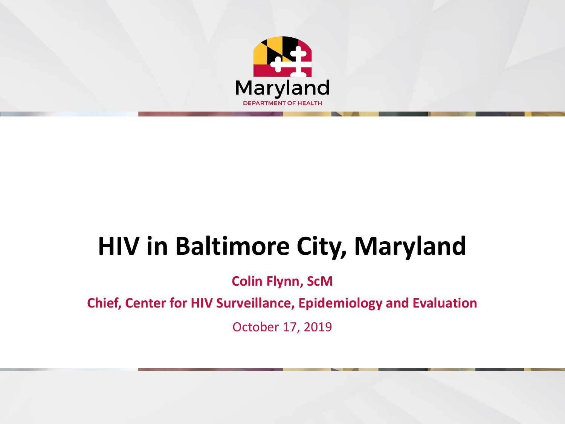

### **HIV in Baltimore City, Maryland**

**Colin Flynn, ScM**

**Chief, Center for HIV Surveillance, Epidemiology and Evaluation**

October 17, 2019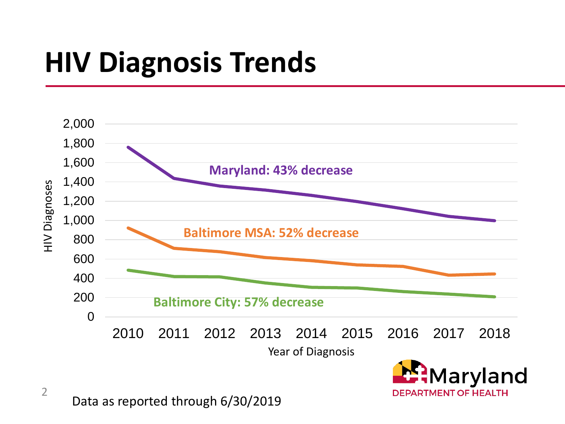# **HIV Diagnosis Trends**



**DEPARTMENT OF HEALTH**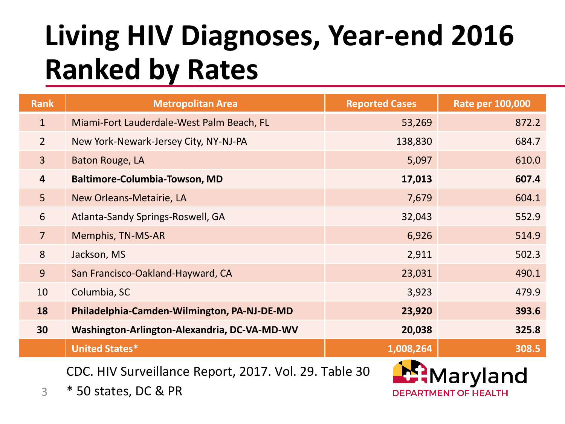# **Living HIV Diagnoses, Year-end 2016 Ranked by Rates**

| <b>Rank</b>                                           | <b>Metropolitan Area</b>                     | <b>Reported Cases</b> | <b>Rate per 100,000</b> |
|-------------------------------------------------------|----------------------------------------------|-----------------------|-------------------------|
| $\mathbf{1}$                                          | Miami-Fort Lauderdale-West Palm Beach, FL    | 53,269                | 872.2                   |
| $2^{\circ}$                                           | New York-Newark-Jersey City, NY-NJ-PA        | 138,830               | 684.7                   |
| 3 <sup>1</sup>                                        | Baton Rouge, LA                              | 5,097                 | 610.0                   |
| $\overline{\mathbf{4}}$                               | <b>Baltimore-Columbia-Towson, MD</b>         | 17,013                | 607.4                   |
| 5 <sup>1</sup>                                        | New Orleans-Metairie, LA                     | 7,679                 | 604.1                   |
| 6                                                     | Atlanta-Sandy Springs-Roswell, GA            | 32,043                | 552.9                   |
| 7 <sup>1</sup>                                        | Memphis, TN-MS-AR                            | 6,926                 | 514.9                   |
| 8                                                     | Jackson, MS                                  | 2,911                 | 502.3                   |
| 9 <sup>°</sup>                                        | San Francisco-Oakland-Hayward, CA            | 23,031                | 490.1                   |
| 10                                                    | Columbia, SC                                 | 3,923                 | 479.9                   |
| 18                                                    | Philadelphia-Camden-Wilmington, PA-NJ-DE-MD  | 23,920                | 393.6                   |
| 30                                                    | Washington-Arlington-Alexandria, DC-VA-MD-WV | 20,038                | 325.8                   |
|                                                       | <b>United States*</b>                        | 1,008,264             | 308.5                   |
| CDC. HIV Surveillance Report, 2017. Vol. 29. Table 30 |                                              |                       | Marviar                 |

 \* 50 states, DC & PR

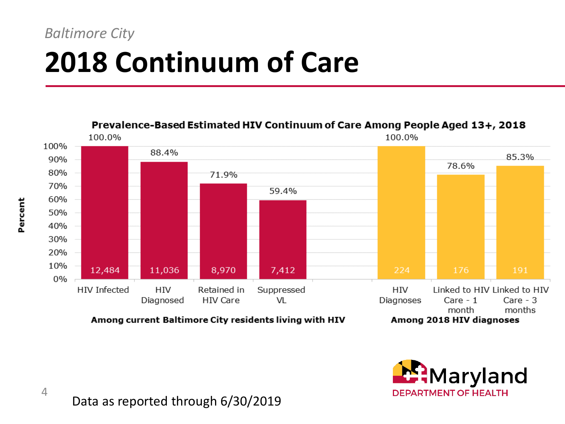### **2018 Continuum of Care** *Baltimore City*



Among current Baltimore City residents living with HIV

Among 2018 HIV diagnoses

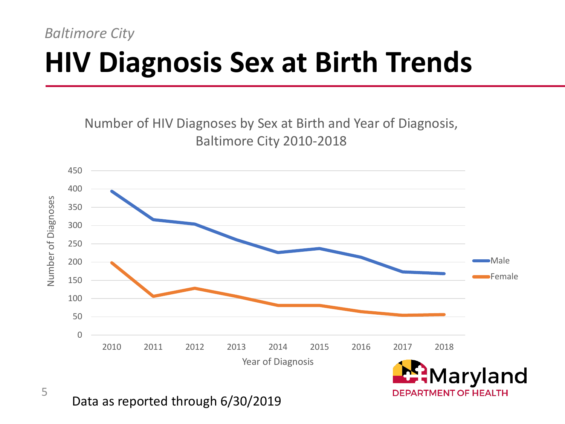## **HIV Diagnosis Sex at Birth Trends**

Number of HIV Diagnoses by Sex at Birth and Year of Diagnosis, Baltimore City 2010-2018

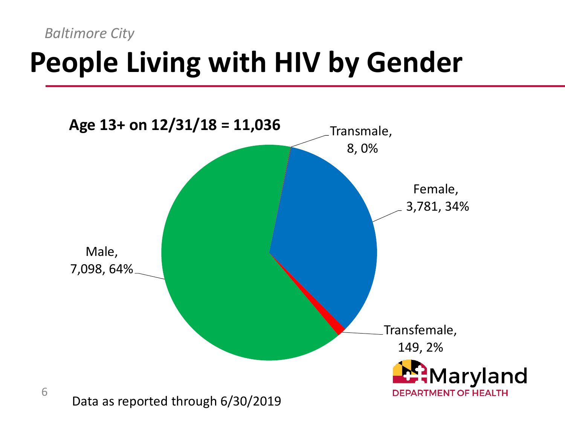# **People Living with HIV by Gender**

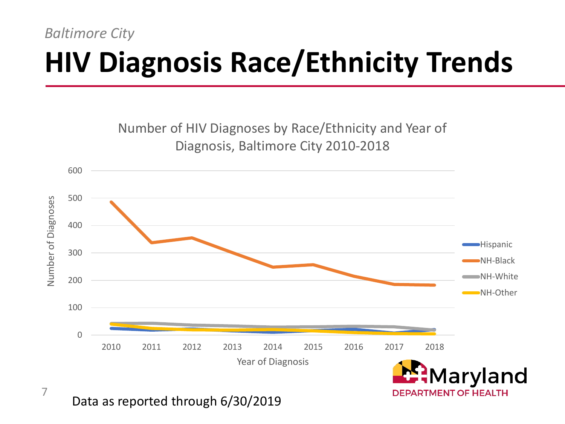# **HIV Diagnosis Race/Ethnicity Trends**

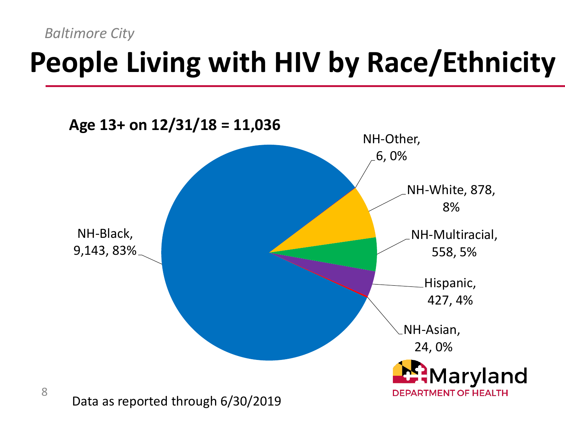# **People Living with HIV by Race/Ethnicity**

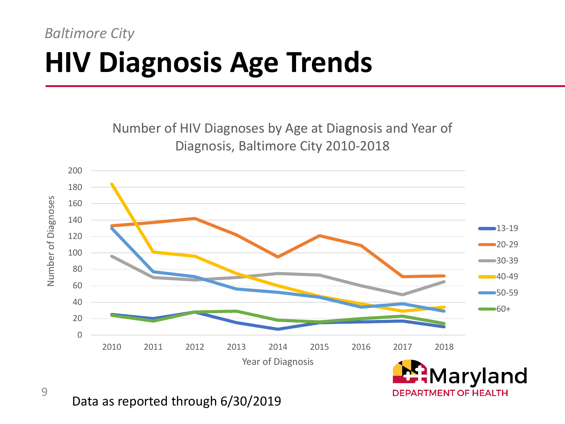# **HIV Diagnosis Age Trends**

Number of HIV Diagnoses by Age at Diagnosis and Year of Diagnosis, Baltimore City 2010-2018

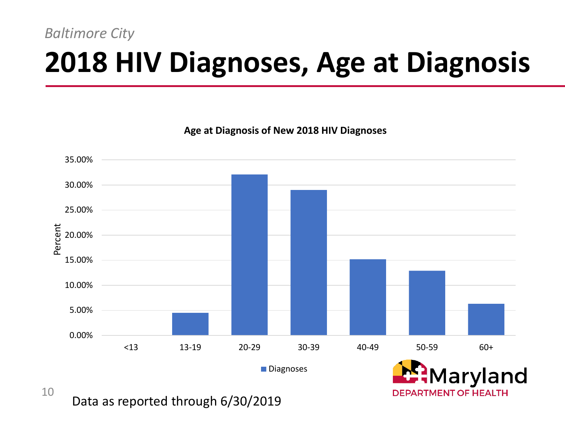# **2018 HIV Diagnoses, Age at Diagnosis**

**Age at Diagnosis of New 2018 HIV Diagnoses**

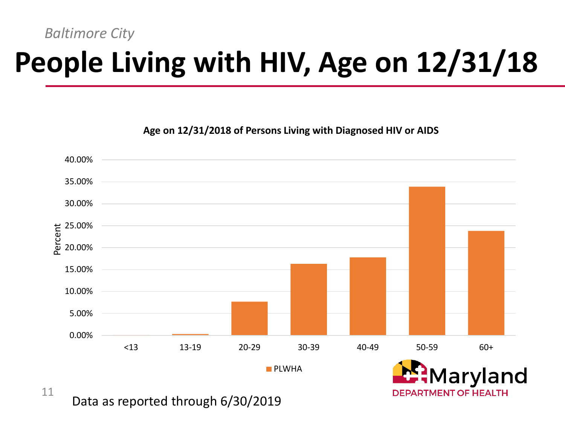# **People Living with HIV, Age on 12/31/18**

**Age on 12/31/2018 of Persons Living with Diagnosed HIV or AIDS**

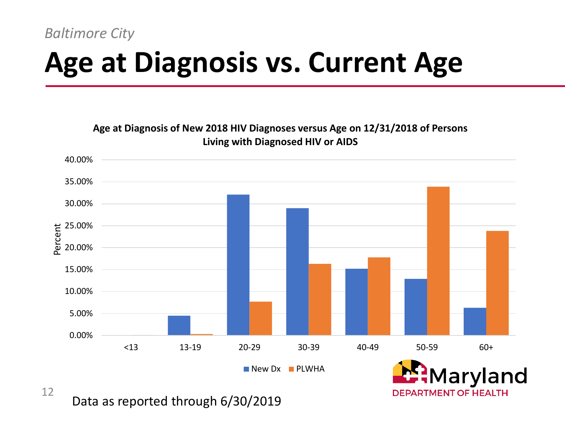## **Age at Diagnosis vs. Current Age**

**Age at Diagnosis of New 2018 HIV Diagnoses versus Age on 12/31/2018 of Persons Living with Diagnosed HIV or AIDS**



**DEPARTMENT OF HEALTH** 

Data as reported through 6/30/2019

12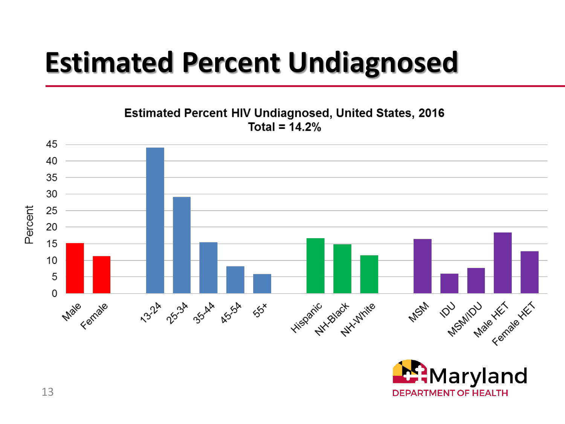## **Estimated Percent Undiagnosed**



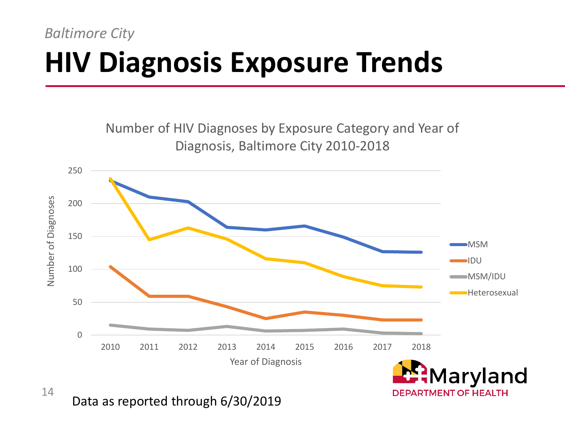# **HIV Diagnosis Exposure Trends**

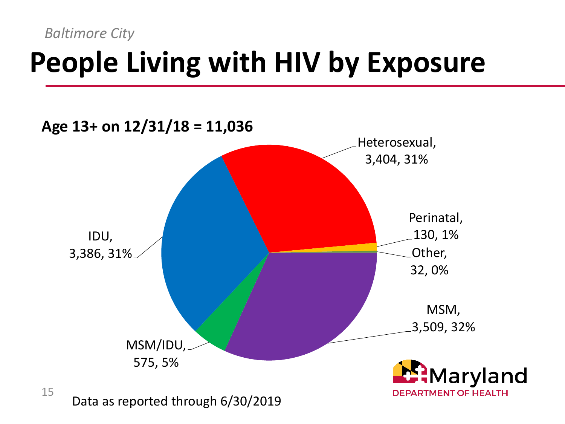# **People Living with HIV by Exposure**

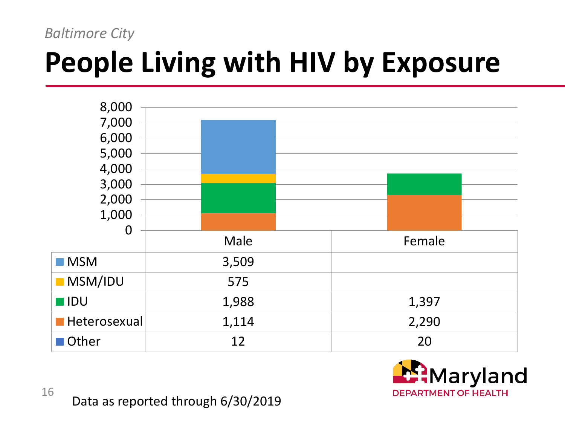16

# **People Living with HIV by Exposure**



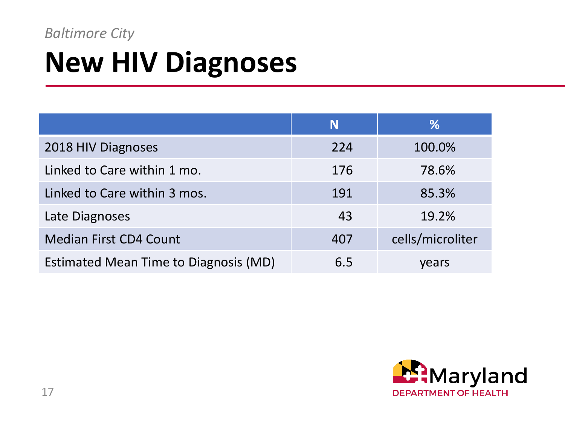## **New HIV Diagnoses**

|                                       | N   | $\%$             |
|---------------------------------------|-----|------------------|
| 2018 HIV Diagnoses                    | 224 | 100.0%           |
| Linked to Care within 1 mo.           | 176 | 78.6%            |
| Linked to Care within 3 mos.          | 191 | 85.3%            |
| Late Diagnoses                        | 43  | 19.2%            |
| <b>Median First CD4 Count</b>         | 407 | cells/microliter |
| Estimated Mean Time to Diagnosis (MD) | 6.5 | years            |

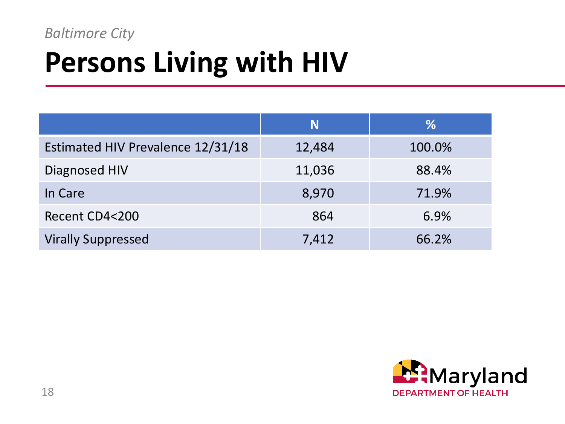# **Persons Living with HIV**

|                                   | N      | %      |
|-----------------------------------|--------|--------|
| Estimated HIV Prevalence 12/31/18 | 12,484 | 100.0% |
| Diagnosed HIV                     | 11,036 | 88.4%  |
| In Care                           | 8,970  | 71.9%  |
| Recent CD4<200                    | 864    | 6.9%   |
| <b>Virally Suppressed</b>         | 7,412  | 66.2%  |